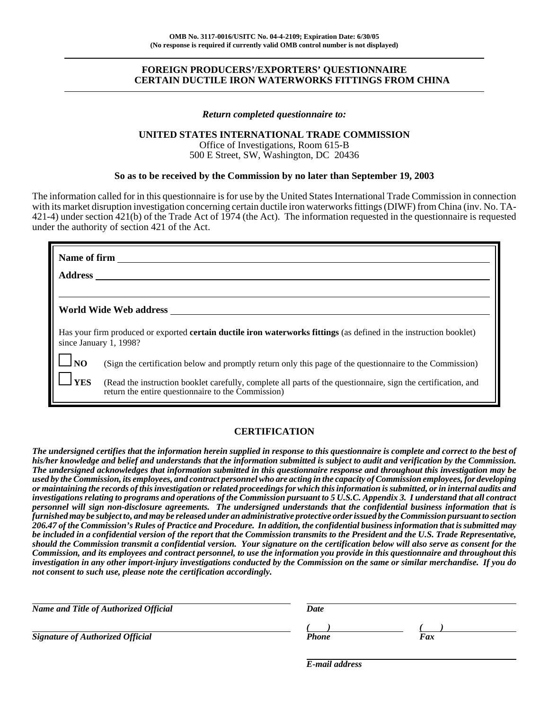# **FOREIGN PRODUCERS'/EXPORTERS' QUESTIONNAIRE CERTAIN DUCTILE IRON WATERWORKS FITTINGS FROM CHINA**

### *Return completed questionnaire to:*

### **UNITED STATES INTERNATIONAL TRADE COMMISSION**

Office of Investigations, Room 615-B 500 E Street, SW, Washington, DC 20436

## **So as to be received by the Commission by no later than September 19, 2003**

The information called for in this questionnaire is for use by the United States International Trade Commission in connection with its market disruption investigation concerning certain ductile iron waterworks fittings (DIWF) from China (inv. No. TA-421-4) under section 421(b) of the Trade Act of 1974 (the Act). The information requested in the questionnaire is requested under the authority of section 421 of the Act.

|                | Name of firm                                                                                                                                                        |
|----------------|---------------------------------------------------------------------------------------------------------------------------------------------------------------------|
| <b>Address</b> |                                                                                                                                                                     |
|                |                                                                                                                                                                     |
|                | World Wide Web address                                                                                                                                              |
|                | Has your firm produced or exported <b>certain ductile iron waterworks fittings</b> (as defined in the instruction booklet)<br>since January 1, 1998?                |
| $J_{\rm NO}$   | (Sign the certification below and promptly return only this page of the questionnaire to the Commission)                                                            |
| <b>YES</b>     | (Read the instruction booklet carefully, complete all parts of the questionnaire, sign the certification, and<br>return the entire questionnaire to the Commission) |

# **CERTIFICATION**

*The undersigned certifies that the information herein supplied in response to this questionnaire is complete and correct to the best of his/her knowledge and belief and understands that the information submitted is subject to audit and verification by the Commission. The undersigned acknowledges that information submitted in this questionnaire response and throughout this investigation may be used by the Commission, its employees, and contract personnel who are acting in the capacity of Commission employees, for developing or maintaining the records of this investigation or related proceedings for which this information is submitted, or in internal audits and investigations relating to programs and operations of the Commission pursuant to 5 U.S.C. Appendix 3. I understand that all contract personnel will sign non-disclosure agreements. The undersigned understands that the confidential business information that is furnished may be subject to, and may be released under an administrative protective order issued by the Commission pursuant to section 206.47 of the Commission's Rules of Practice and Procedure. In addition, the confidential business information that is submitted may be included in a confidential version of the report that the Commission transmits to the President and the U.S. Trade Representative, should the Commission transmit a confidential version. Your signature on the certification below will also serve as consent for the Commission, and its employees and contract personnel, to use the information you provide in this questionnaire and throughout this investigation in any other import-injury investigations conducted by the Commission on the same or similar merchandise. If you do not consent to such use, please note the certification accordingly.*

| Name and Title of Authorized Official   | Date         |     |  |
|-----------------------------------------|--------------|-----|--|
| <b>Signature of Authorized Official</b> | <b>Phone</b> | Fax |  |
|                                         |              |     |  |

*E-mail address*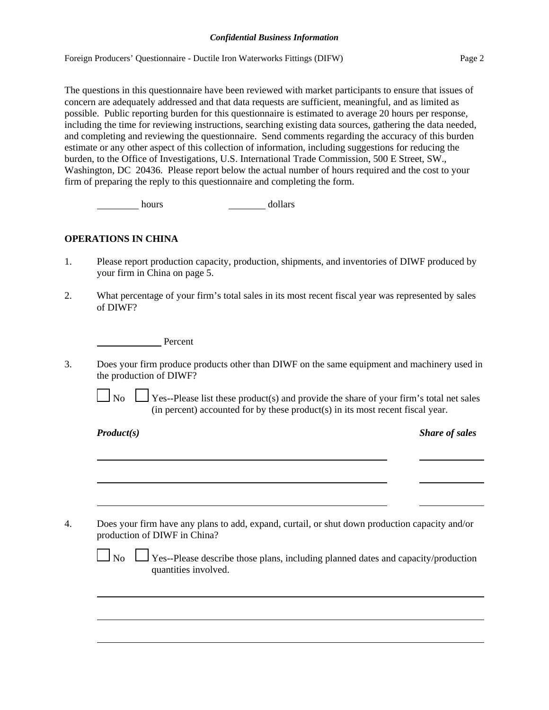### *Confidential Business Information*

Foreign Producers' Questionnaire - Ductile Iron Waterworks Fittings (DIFW) Page 2

The questions in this questionnaire have been reviewed with market participants to ensure that issues of concern are adequately addressed and that data requests are sufficient, meaningful, and as limited as possible. Public reporting burden for this questionnaire is estimated to average 20 hours per response, including the time for reviewing instructions, searching existing data sources, gathering the data needed, and completing and reviewing the questionnaire. Send comments regarding the accuracy of this burden estimate or any other aspect of this collection of information, including suggestions for reducing the burden, to the Office of Investigations, U.S. International Trade Commission, 500 E Street, SW., Washington, DC 20436. Please report below the actual number of hours required and the cost to your firm of preparing the reply to this questionnaire and completing the form.

hours dollars

# **OPERATIONS IN CHINA**

- 1. Please report production capacity, production, shipments, and inventories of DIWF produced by your firm in China on page 5.
- 2. What percentage of your firm's total sales in its most recent fiscal year was represented by sales of DIWF?

Percent

3. Does your firm produce products other than DIWF on the same equipment and machinery used in the production of DIWF?

 $\Box$  No  $\Box$  Yes--Please list these product(s) and provide the share of your firm's total net sales (in percent) accounted for by these product(s) in its most recent fiscal year.

*Product(s) Share of sales*

4. Does your firm have any plans to add, expand, curtail, or shut down production capacity and/or production of DIWF in China?

 $\Box$  No  $\Box$  Yes--Please describe those plans, including planned dates and capacity/production quantities involved.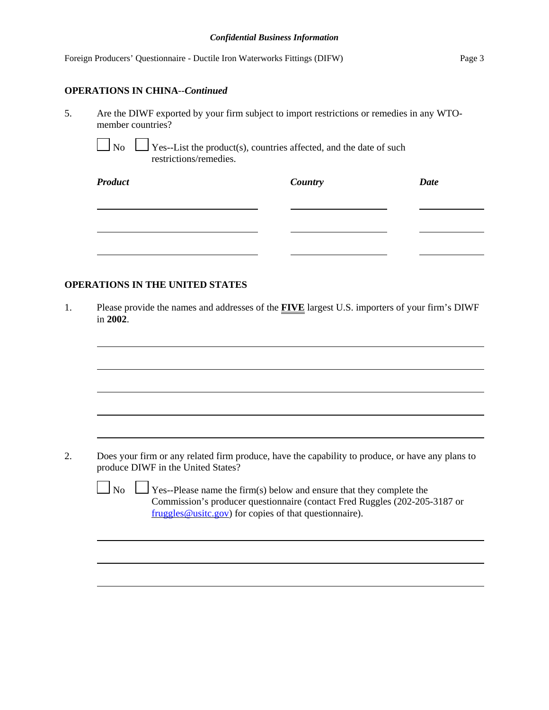#### *Confidential Business Information*

|    | Foreign Producers' Questionnaire - Ductile Iron Waterworks Fittings (DIFW)                                     |         | Page 3      |
|----|----------------------------------------------------------------------------------------------------------------|---------|-------------|
|    | <b>OPERATIONS IN CHINA--Continued</b>                                                                          |         |             |
| 5. | Are the DIWF exported by your firm subject to import restrictions or remedies in any WTO-<br>member countries? |         |             |
|    | $\Box$ No $\Box$ Yes--List the product(s), countries affected, and the date of such<br>restrictions/remedies.  |         |             |
|    | <b>Product</b>                                                                                                 | Country | <b>Date</b> |

# **OPERATIONS IN THE UNITED STATES**

1. Please provide the names and addresses of the **FIVE** largest U.S. importers of your firm's DIWF in **2002**.

2. Does your firm or any related firm produce, have the capability to produce, or have any plans to produce DIWF in the United States?

 $\Box$  No  $\Box$  Yes--Please name the firm(s) below and ensure that they complete the Commission's producer questionnaire (contact Fred Ruggles (202-205-3187 or fruggles@usitc.gov) for copies of that questionnaire).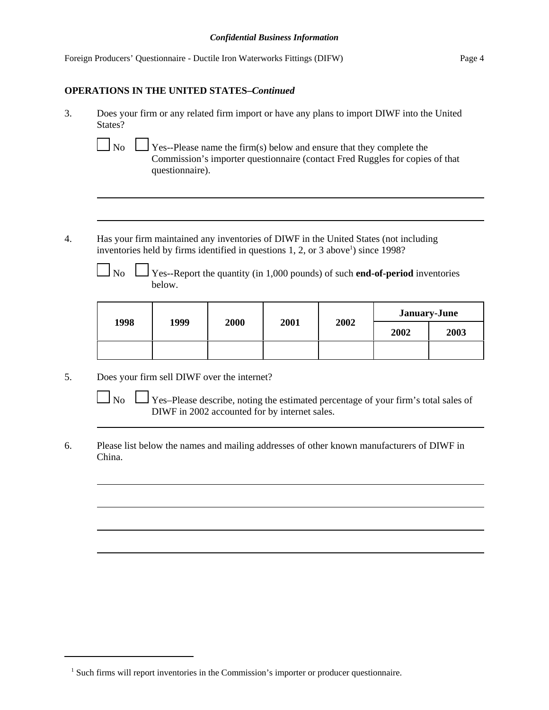| Foreign Producers' Questionnaire - Ductile Iron Waterworks Fittings (DIFW) | Page 4 |
|----------------------------------------------------------------------------|--------|
|                                                                            |        |

# **OPERATIONS IN THE UNITED STATES–***Continued*

- 3. Does your firm or any related firm import or have any plans to import DIWF into the United States?
	-

 $\Box$  No  $\Box$  Yes--Please name the firm(s) below and ensure that they complete the Commission's importer questionnaire (contact Fred Ruggles for copies of that questionnaire).

- 4. Has your firm maintained any inventories of DIWF in the United States (not including inventories held by firms identified in questions  $1, 2$ , or  $3$  above<sup>1</sup>) since 1998?
	-

 $\Box$  No  $\Box$  Yes--Report the quantity (in 1,000 pounds) of such **end-of-period** inventories below.

| 1998 | 1999 | 2000 | 2001 | 2002 | <b>January-June</b> |      |  |
|------|------|------|------|------|---------------------|------|--|
|      |      |      |      |      | 2002                | 2003 |  |
|      |      |      |      |      |                     |      |  |

- 5. Does your firm sell DIWF over the internet?
	- $\Box$  No  $\Box$  Yes–Please describe, noting the estimated percentage of your firm's total sales of DIWF in 2002 accounted for by internet sales.
- 6. Please list below the names and mailing addresses of other known manufacturers of DIWF in China.

<sup>&</sup>lt;sup>1</sup> Such firms will report inventories in the Commission's importer or producer questionnaire.